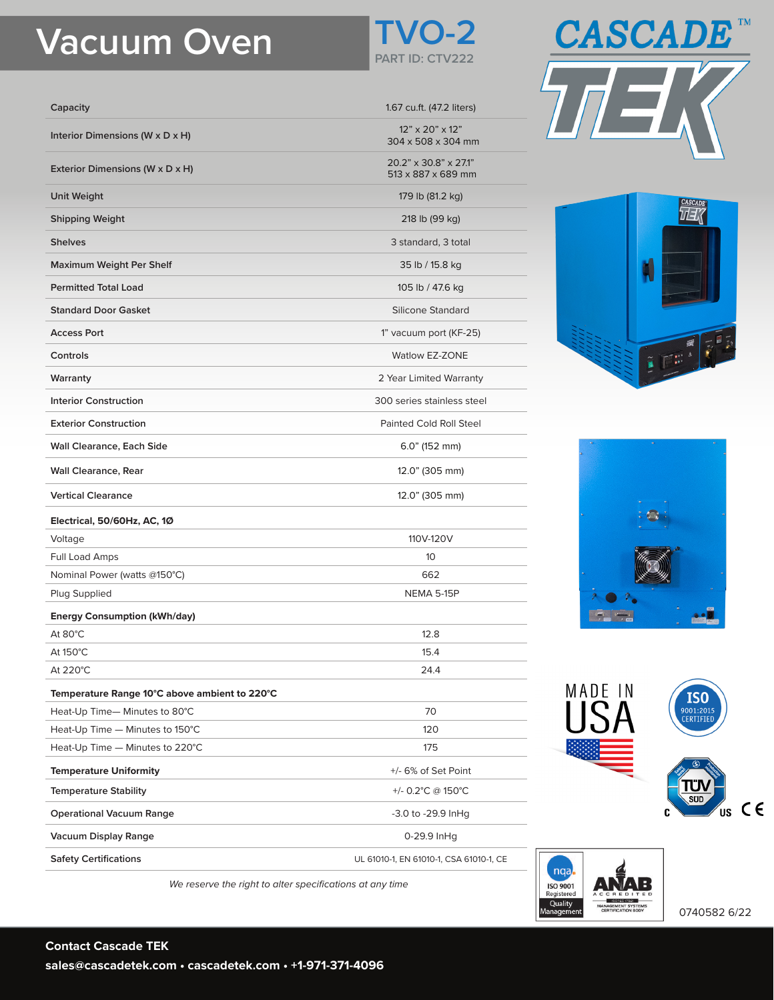## **Vacuum Oven TVO-2**



| Capacity                                      | 1.67 cu.ft. (47.2 liters)                         |
|-----------------------------------------------|---------------------------------------------------|
| Interior Dimensions (W x D x H)               | $12" \times 20" \times 12"$<br>304 x 508 x 304 mm |
| Exterior Dimensions (W x D x H)               | 20.2" x 30.8" x 27.1"<br>513 x 887 x 689 mm       |
| <b>Unit Weight</b>                            | 179 lb (81.2 kg)                                  |
| <b>Shipping Weight</b>                        | 218 lb (99 kg)                                    |
| <b>Shelves</b>                                | 3 standard, 3 total                               |
| Maximum Weight Per Shelf                      | 35 lb / 15.8 kg                                   |
| <b>Permitted Total Load</b>                   | 105 lb / 47.6 kg                                  |
| <b>Standard Door Gasket</b>                   | Silicone Standard                                 |
| <b>Access Port</b>                            | 1" vacuum port (KF-25)                            |
| Controls                                      | <b>Watlow EZ-ZONE</b>                             |
| Warranty                                      | 2 Year Limited Warranty                           |
| <b>Interior Construction</b>                  | 300 series stainless steel                        |
| <b>Exterior Construction</b>                  | <b>Painted Cold Roll Steel</b>                    |
| <b>Wall Clearance, Each Side</b>              | $6.0$ " (152 mm)                                  |
| <b>Wall Clearance, Rear</b>                   | 12.0" (305 mm)                                    |
| <b>Vertical Clearance</b>                     | 12.0" (305 mm)                                    |
| Electrical, 50/60Hz, AC, 1Ø                   |                                                   |
| Voltage                                       | 110V-120V                                         |
| <b>Full Load Amps</b>                         | 10 <sup>°</sup>                                   |
| Nominal Power (watts @150°C)                  | 662                                               |
| Plug Supplied                                 | <b>NEMA 5-15P</b>                                 |
| <b>Energy Consumption (kWh/day)</b>           |                                                   |
| At 80°C                                       | 12.8                                              |
| At 150°C                                      | 15.4                                              |
| At 220°C                                      | 24.4                                              |
| Temperature Range 10°C above ambient to 220°C |                                                   |
| Heat-Up Time-Minutes to 80°C                  | 70                                                |
| Heat-Up Time - Minutes to 150°C               | 120                                               |
| Heat-Up Time - Minutes to 220°C               | 175                                               |
| <b>Temperature Uniformity</b>                 | +/- 6% of Set Point                               |
| <b>Temperature Stability</b>                  | +/- 0.2°C @ 150°C                                 |
| <b>Operational Vacuum Range</b>               | -3.0 to -29.9 InHg                                |
| Vacuum Display Range                          | 0-29.9 InHg                                       |
| <b>Safety Certifications</b>                  | UL 61010-1, EN 61010-1, CSA 61010-1, CE           |











0740582 6/22

*We reserve the right to alter specifications at any time*